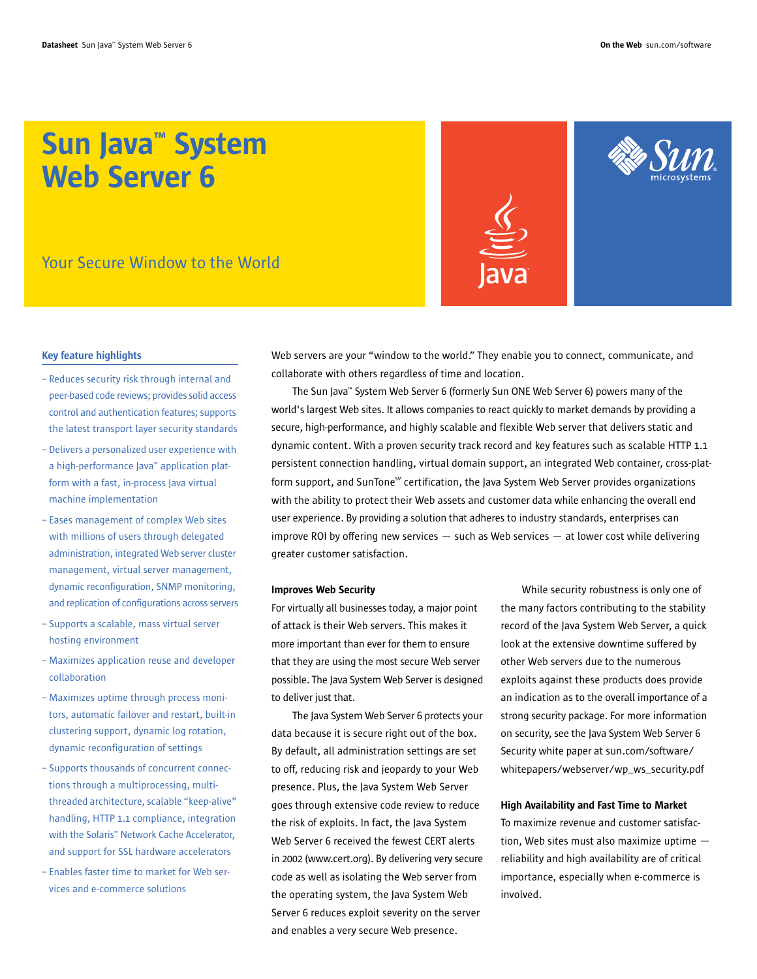# Sun Java™ System Web Server 6

Your Secure Window to the World



### Key feature highlights

- Reduces security risk through internal and peer-based code reviews; provides solid access control and authentication features; supports the latest transport layer security standards
- Delivers a personalized user experience with a high-performance Java™ application platform with a fast, in-process Java virtual machine implementation
- Eases management of complex Web sites with millions of users through delegated administration, integrated Web server cluster management, virtual server management, dynamic reconfiguration, SNMP monitoring, and replication of configurations across servers
- Supports a scalable, mass virtual server hosting environment
- Maximizes application reuse and developer collaboration
- Maximizes uptime through process monitors, automatic failover and restart, built-in clustering support, dynamic log rotation, dynamic reconfiguration of settings
- Supports thousands of concurrent connections through a multiprocessing, multithreaded architecture, scalable "keep-alive" handling, HTTP 1.1 compliance, integration with the Solaris™ Network Cache Accelerator, and support for SSL hardware accelerators
- Enables faster time to market for Web services and e-commerce solutions

Web servers are your "window to the world." They enable you to connect, communicate, and collaborate with others regardless of time and location.

The Sun Java™ System Web Server 6 (formerly Sun ONE Web Server 6) powers many of the world's largest Web sites. It allows companies to react quickly to market demands by providing a secure, high-performance, and highly scalable and flexible Web server that delivers static and dynamic content. With a proven security track record and key features such as scalable HTTP 1.1 persistent connection handling, virtual domain support, an integrated Web container, cross-platform support, and SunTone<sup>5M</sup> certification, the Java System Web Server provides organizations with the ability to protect their Web assets and customer data while enhancing the overall end user experience. By providing a solution that adheres to industry standards, enterprises can improve ROI by offering new services  $-$  such as Web services  $-$  at lower cost while delivering greater customer satisfaction.

## Improves Web Security

For virtually all businesses today, a major point of attack is their Web servers. This makes it more important than ever for them to ensure that they are using the most secure Web server possible. The Java System Web Server is designed to deliver just that.

The Java System Web Server 6 protects your data because it is secure right out of the box. By default, all administration settings are set to off, reducing risk and jeopardy to your Web presence. Plus, the Java System Web Server goes through extensive code review to reduce the risk of exploits. In fact, the Java System Web Server 6 received the fewest CERT alerts in 2002 (www.cert.org). By delivering very secure code as well as isolating the Web server from the operating system, the Java System Web Server 6 reduces exploit severity on the server and enables a very secure Web presence.

While security robustness is only one of the many factors contributing to the stability record of the Java System Web Server, a quick look at the extensive downtime suffered by other Web servers due to the numerous exploits against these products does provide an indication as to the overall importance of a strong security package. For more information on security, see the Java System Web Server 6 Security white paper at sun.com/software/ whitepapers/webserver/wp\_ws\_security.pdf

### High Availability and Fast Time to Market

To maximize revenue and customer satisfaction, Web sites must also maximize uptime reliability and high availability are of critical importance, especially when e-commerce is involved.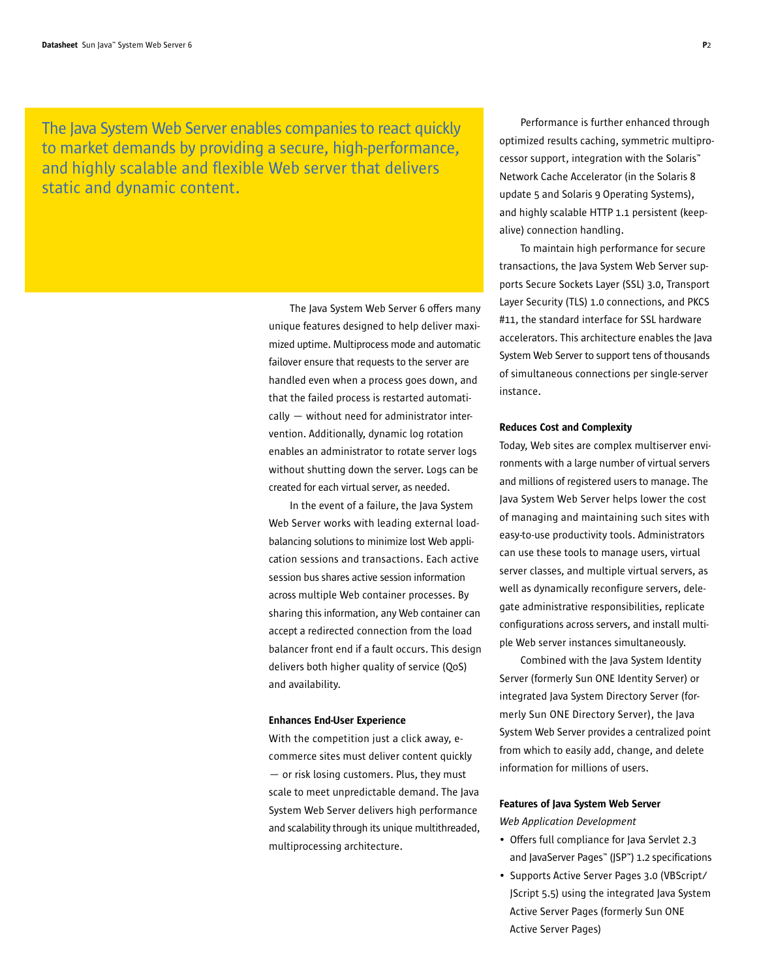The Java System Web Server enables companies to react quickly to market demands by providing a secure, high-performance, and highly scalable and flexible Web server that delivers static and dynamic content.

> The Java System Web Server 6 offers many unique features designed to help deliver maximized uptime. Multiprocess mode and automatic failover ensure that requests to the server are handled even when a process goes down, and that the failed process is restarted automatically — without need for administrator intervention. Additionally, dynamic log rotation enables an administrator to rotate server logs without shutting down the server. Logs can be created for each virtual server, as needed.

> In the event of a failure, the Java System Web Server works with leading external loadbalancing solutions to minimize lost Web application sessions and transactions. Each active session bus shares active session information across multiple Web container processes. By sharing this information, any Web container can accept a redirected connection from the load balancer front end if a fault occurs. This design delivers both higher quality of service (QoS) and availability.

#### Enhances End-User Experience

With the competition just a click away, ecommerce sites must deliver content quickly — or risk losing customers. Plus, they must scale to meet unpredictable demand. The Java System Web Server delivers high performance and scalability through its unique multithreaded, multiprocessing architecture.

Performance is further enhanced through optimized results caching, symmetric multiprocessor support, integration with the Solaris™ Network Cache Accelerator (in the Solaris 8 update 5 and Solaris 9 Operating Systems), and highly scalable HTTP 1.1 persistent (keepalive) connection handling.

To maintain high performance for secure transactions, the Java System Web Server supports Secure Sockets Layer (SSL) 3.0, Transport Layer Security (TLS) 1.0 connections, and PKCS #11, the standard interface for SSL hardware accelerators. This architecture enables the Java System Web Server to support tens of thousands of simultaneous connections per single-server instance.

### Reduces Cost and Complexity

Today, Web sites are complex multiserver environments with a large number of virtual servers and millions of registered users to manage. The Java System Web Server helps lower the cost of managing and maintaining such sites with easy-to-use productivity tools. Administrators can use these tools to manage users, virtual server classes, and multiple virtual servers, as well as dynamically reconfigure servers, delegate administrative responsibilities, replicate configurations across servers, and install multiple Web server instances simultaneously.

Combined with the Java System Identity Server (formerly Sun ONE Identity Server) or integrated Java System Directory Server (formerly Sun ONE Directory Server), the Java System Web Server provides a centralized point from which to easily add, change, and delete information for millions of users.

# Features of Java System Web Server *Web Application Development*

- Offers full compliance for Java Servlet 2.3 and JavaServer Pages™ (JSP™) 1.2 specifications
- Supports Active Server Pages 3.0 (VBScript/ JScript 5.5) using the integrated Java System Active Server Pages (formerly Sun ONE Active Server Pages)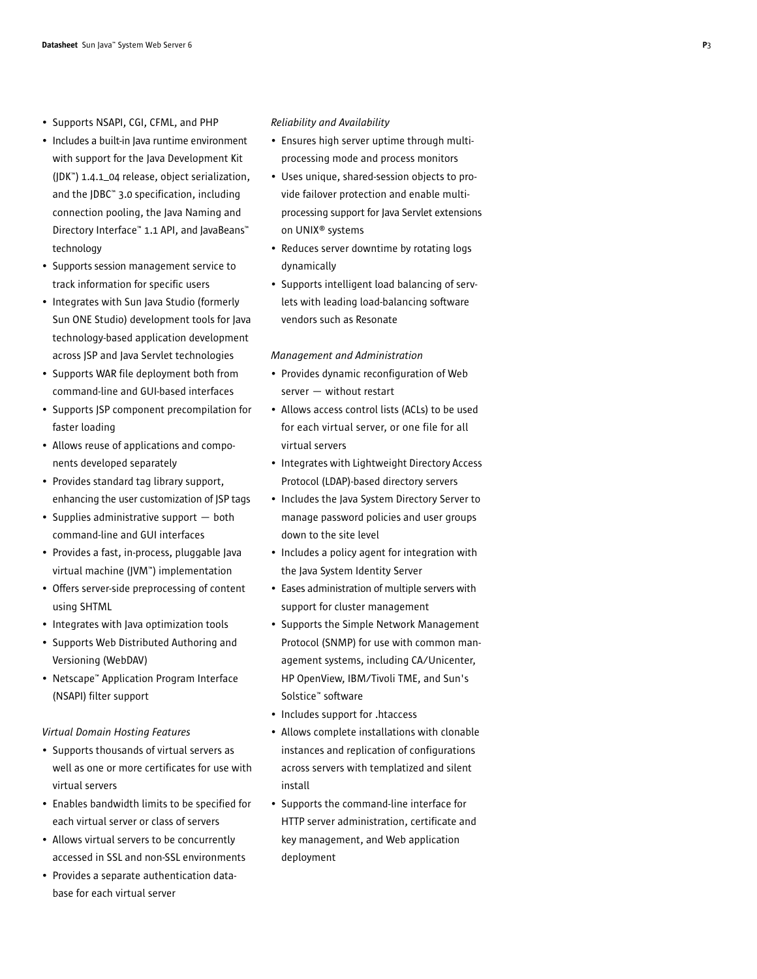- Supports NSAPI, CGI, CFML, and PHP
- Includes a built-in Java runtime environment with support for the Java Development Kit (JDK™) 1.4.1\_04 release, object serialization, and the JDBC™ 3.0 specification, including connection pooling, the Java Naming and Directory Interface™ 1.1 API, and JavaBeans™ technology
- Supports session management service to track information for specific users
- Integrates with Sun Java Studio (formerly Sun ONE Studio) development tools for Java technology-based application development across JSP and Java Servlet technologies
- Supports WAR file deployment both from command-line and GUI-based interfaces
- Supports JSP component precompilation for faster loading
- Allows reuse of applications and components developed separately
- Provides standard tag library support, enhancing the user customization of JSP tags
- Supplies administrative support both command-line and GUI interfaces
- Provides a fast, in-process, pluggable Java virtual machine (JVM™) implementation
- Offers server-side preprocessing of content using SHTML
- Integrates with Java optimization tools
- Supports Web Distributed Authoring and Versioning (WebDAV)
- Netscape™ Application Program Interface (NSAPI) filter support

# *Virtual Domain Hosting Features*

- Supports thousands of virtual servers as well as one or more certificates for use with virtual servers
- Enables bandwidth limits to be specified for each virtual server or class of servers
- Allows virtual servers to be concurrently accessed in SSL and non-SSL environments
- Provides a separate authentication database for each virtual server

### *Reliability and Availability*

- Ensures high server uptime through multiprocessing mode and process monitors
- Uses unique, shared-session objects to provide failover protection and enable multiprocessing support for Java Servlet extensions on UNIX® systems
- Reduces server downtime by rotating logs dynamically
- Supports intelligent load balancing of servlets with leading load-balancing software vendors such as Resonate

### *Management and Administration*

- Provides dynamic reconfiguration of Web server — without restart
- Allows access control lists (ACLs) to be used for each virtual server, or one file for all virtual servers
- Integrates with Lightweight Directory Access Protocol (LDAP)-based directory servers
- Includes the Java System Directory Server to manage password policies and user groups down to the site level
- Includes a policy agent for integration with the Java System Identity Server
- Eases administration of multiple servers with support for cluster management
- Supports the Simple Network Management Protocol (SNMP) for use with common management systems, including CA/Unicenter, HP OpenView, IBM/Tivoli TME, and Sun's Solstice™ software
- Includes support for .htaccess
- Allows complete installations with clonable instances and replication of configurations across servers with templatized and silent install
- Supports the command-line interface for HTTP server administration, certificate and key management, and Web application deployment